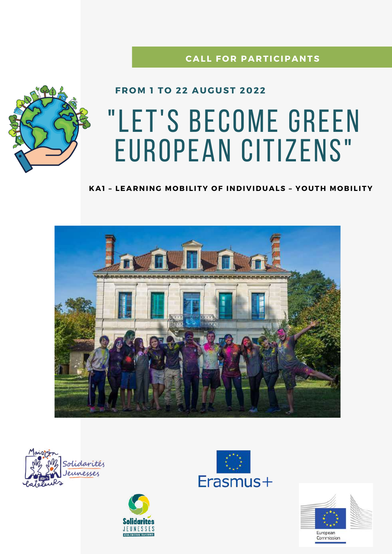### **CALL FOR PARTICIPANTS**



## **FROM 1 TO 22 AUGUST 2022**

# "LET'S BECOME GREEN **EUROPEAN CITIZENS"**

#### KAI - LEARNING MOBILITY OF INDIVIDUALS - YOUTH MOBILITY









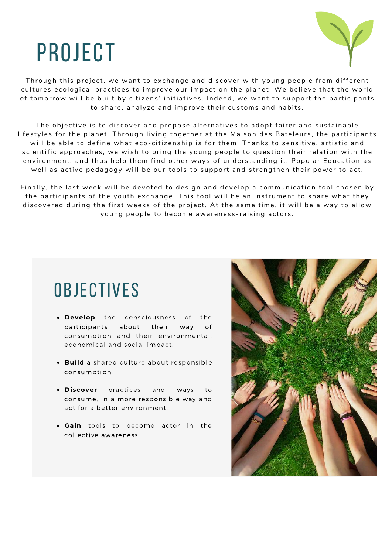## project



Through this project, we want to exchange and discover with young people from different cultures ecological practices to improve our impact on the planet. We believe that the world of tomorrow will be built by citizens' initiatives. Indeed, we want to support the participants to share, analyze and improve their customs and habits.

The objective is to discover and propose alternatives to adopt fairer and sustainable lifestyles for the planet. Through living together at the Maison des Bateleurs, the participants will be able to define what eco-citizenship is for them. Thanks to sensitive, artistic and scientific approaches, we wish to bring the young people to question their relation with the environment, and thus help them find other ways of understanding it. Popular Education as well as active pedagogy will be our tools to support and strengthen their power to act.

Finally, the last week will be devoted to design and develop a communication tool chosen by the participants of the youth exchange. This tool will be an instrument to share what they discovered during the first weeks of the project. At the same time, it will be a way to allow young people to become awareness-raising actors.

## **OBJECTIVES**

- **Develop** the consciousness of the participants about their way of consumption and their environmental, economical and social impact.
- **Build** a shared culture about responsible consumption.
- **Discover** practices and ways to consume, in a more responsible way and act for a better environment.
- **Gain** tools to become actor in the collective awareness.